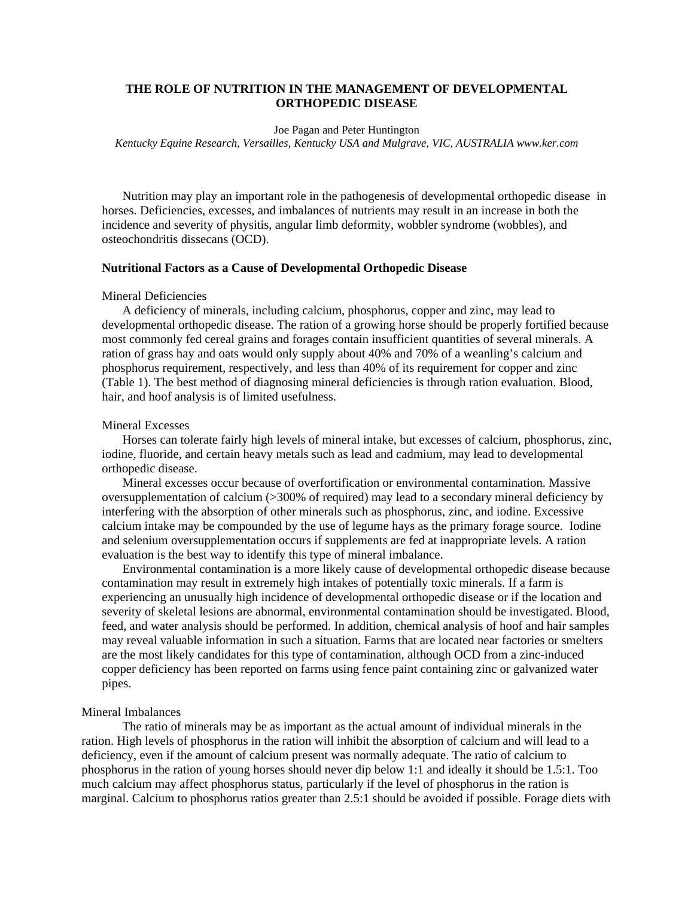## **THE ROLE OF NUTRITION IN THE MANAGEMENT OF DEVELOPMENTAL ORTHOPEDIC DISEASE**

#### Joe Pagan and Peter Huntington

*Kentucky Equine Research, Versailles, Kentucky USA and Mulgrave, VIC, AUSTRALIA www.ker.com* 

Nutrition may play an important role in the pathogenesis of developmental orthopedic disease in horses. Deficiencies, excesses, and imbalances of nutrients may result in an increase in both the incidence and severity of physitis, angular limb deformity, wobbler syndrome (wobbles), and osteochondritis dissecans (OCD).

## **Nutritional Factors as a Cause of Developmental Orthopedic Disease**

#### Mineral Deficiencies

A deficiency of minerals, including calcium, phosphorus, copper and zinc, may lead to developmental orthopedic disease. The ration of a growing horse should be properly fortified because most commonly fed cereal grains and forages contain insufficient quantities of several minerals. A ration of grass hay and oats would only supply about 40% and 70% of a weanling's calcium and phosphorus requirement, respectively, and less than 40% of its requirement for copper and zinc (Table 1). The best method of diagnosing mineral deficiencies is through ration evaluation. Blood, hair, and hoof analysis is of limited usefulness.

#### Mineral Excesses

Horses can tolerate fairly high levels of mineral intake, but excesses of calcium, phosphorus, zinc, iodine, fluoride, and certain heavy metals such as lead and cadmium, may lead to developmental orthopedic disease.

Mineral excesses occur because of overfortification or environmental contamination. Massive oversupplementation of calcium (>300% of required) may lead to a secondary mineral deficiency by interfering with the absorption of other minerals such as phosphorus, zinc, and iodine. Excessive calcium intake may be compounded by the use of legume hays as the primary forage source. Iodine and selenium oversupplementation occurs if supplements are fed at inappropriate levels. A ration evaluation is the best way to identify this type of mineral imbalance.

Environmental contamination is a more likely cause of developmental orthopedic disease because contamination may result in extremely high intakes of potentially toxic minerals. If a farm is experiencing an unusually high incidence of developmental orthopedic disease or if the location and severity of skeletal lesions are abnormal, environmental contamination should be investigated. Blood, feed, and water analysis should be performed. In addition, chemical analysis of hoof and hair samples may reveal valuable information in such a situation. Farms that are located near factories or smelters are the most likely candidates for this type of contamination, although OCD from a zinc-induced copper deficiency has been reported on farms using fence paint containing zinc or galvanized water pipes.

#### Mineral Imbalances

The ratio of minerals may be as important as the actual amount of individual minerals in the ration. High levels of phosphorus in the ration will inhibit the absorption of calcium and will lead to a deficiency, even if the amount of calcium present was normally adequate. The ratio of calcium to phosphorus in the ration of young horses should never dip below 1:1 and ideally it should be 1.5:1. Too much calcium may affect phosphorus status, particularly if the level of phosphorus in the ration is marginal. Calcium to phosphorus ratios greater than 2.5:1 should be avoided if possible. Forage diets with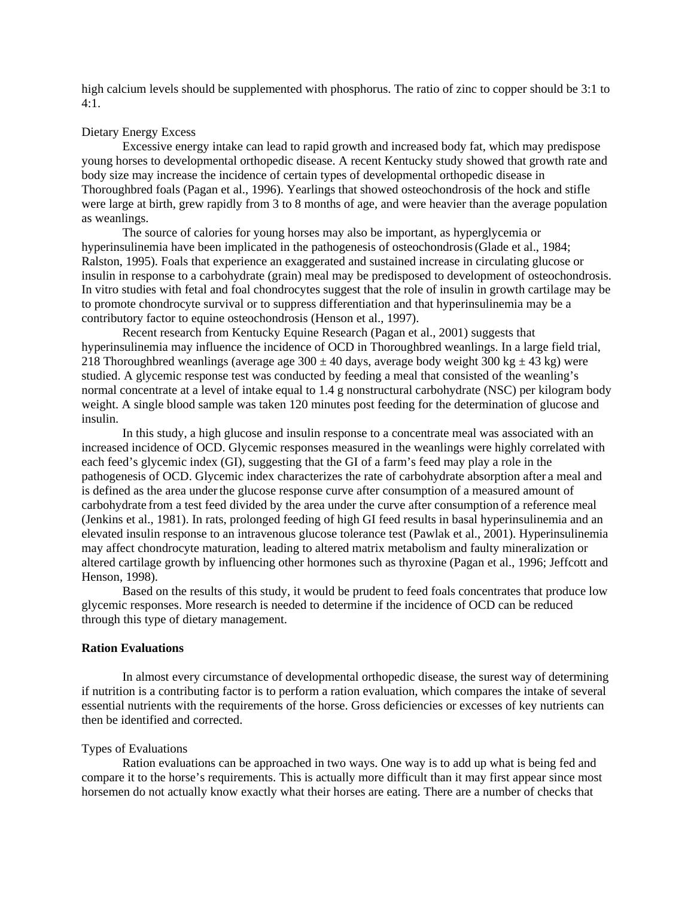high calcium levels should be supplemented with phosphorus. The ratio of zinc to copper should be 3:1 to 4:1.

#### Dietary Energy Excess

Excessive energy intake can lead to rapid growth and increased body fat, which may predispose young horses to developmental orthopedic disease. A recent Kentucky study showed that growth rate and body size may increase the incidence of certain types of developmental orthopedic disease in Thoroughbred foals (Pagan et al., 1996). Yearlings that showed osteochondrosis of the hock and stifle were large at birth, grew rapidly from 3 to 8 months of age, and were heavier than the average population as weanlings.

 The source of calories for young horses may also be important, as hyperglycemia or hyperinsulinemia have been implicated in the pathogenesis of osteochondrosis(Glade et al., 1984; Ralston, 1995). Foals that experience an exaggerated and sustained increase in circulating glucose or insulin in response to a carbohydrate (grain) meal may be predisposed to development of osteochondrosis. In vitro studies with fetal and foal chondrocytes suggest that the role of insulin in growth cartilage may be to promote chondrocyte survival or to suppress differentiation and that hyperinsulinemia may be a contributory factor to equine osteochondrosis (Henson et al., 1997).

Recent research from Kentucky Equine Research (Pagan et al., 2001) suggests that hyperinsulinemia may influence the incidence of OCD in Thoroughbred weanlings. In a large field trial, 218 Thoroughbred weanlings (average age  $300 \pm 40$  days, average body weight 300 kg  $\pm 43$  kg) were studied. A glycemic response test was conducted by feeding a meal that consisted of the weanling's normal concentrate at a level of intake equal to 1.4 g nonstructural carbohydrate (NSC) per kilogram body weight. A single blood sample was taken 120 minutes post feeding for the determination of glucose and insulin.

In this study, a high glucose and insulin response to a concentrate meal was associated with an increased incidence of OCD. Glycemic responses measured in the weanlings were highly correlated with each feed's glycemic index (GI), suggesting that the GI of a farm's feed may play a role in the pathogenesis of OCD. Glycemic index characterizes the rate of carbohydrate absorption after a meal and is defined as the area underthe glucose response curve after consumption of a measured amount of carbohydrate from a test feed divided by the area under the curve after consumption of a reference meal (Jenkins et al., 1981). In rats, prolonged feeding of high GI feed results in basal hyperinsulinemia and an elevated insulin response to an intravenous glucose tolerance test (Pawlak et al., 2001). Hyperinsulinemia may affect chondrocyte maturation, leading to altered matrix metabolism and faulty mineralization or altered cartilage growth by influencing other hormones such as thyroxine (Pagan et al., 1996; Jeffcott and Henson, 1998).

Based on the results of this study, it would be prudent to feed foals concentrates that produce low glycemic responses. More research is needed to determine if the incidence of OCD can be reduced through this type of dietary management.

## **Ration Evaluations**

In almost every circumstance of developmental orthopedic disease, the surest way of determining if nutrition is a contributing factor is to perform a ration evaluation, which compares the intake of several essential nutrients with the requirements of the horse. Gross deficiencies or excesses of key nutrients can then be identified and corrected.

#### Types of Evaluations

Ration evaluations can be approached in two ways. One way is to add up what is being fed and compare it to the horse's requirements. This is actually more difficult than it may first appear since most horsemen do not actually know exactly what their horses are eating. There are a number of checks that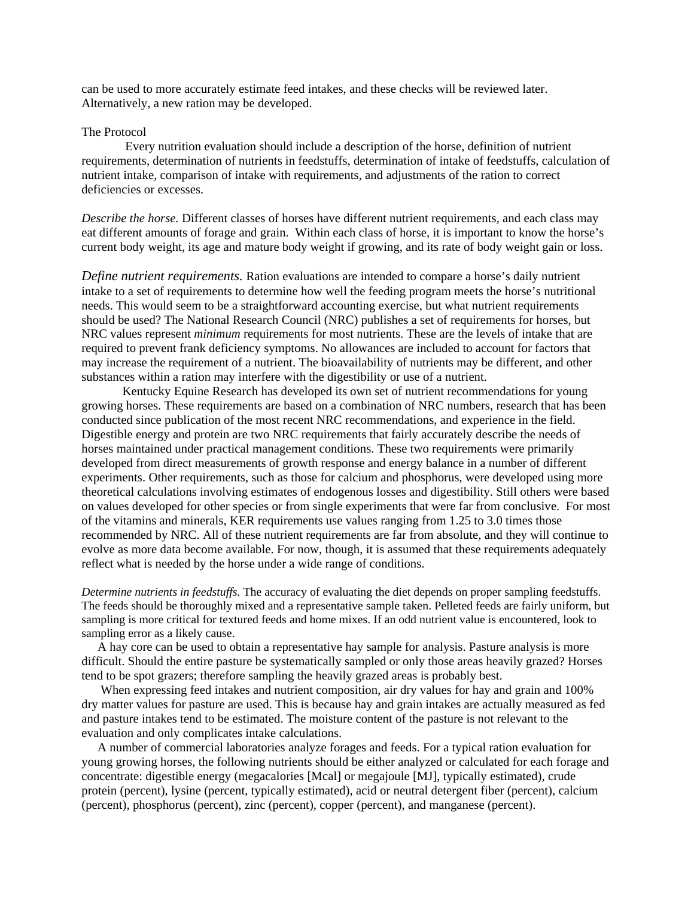can be used to more accurately estimate feed intakes, and these checks will be reviewed later. Alternatively, a new ration may be developed.

#### The Protocol

 Every nutrition evaluation should include a description of the horse, definition of nutrient requirements, determination of nutrients in feedstuffs, determination of intake of feedstuffs, calculation of nutrient intake, comparison of intake with requirements, and adjustments of the ration to correct deficiencies or excesses.

*Describe the horse.* Different classes of horses have different nutrient requirements, and each class may eat different amounts of forage and grain. Within each class of horse, it is important to know the horse's current body weight, its age and mature body weight if growing, and its rate of body weight gain or loss.

*Define nutrient requirements.* Ration evaluations are intended to compare a horse's daily nutrient intake to a set of requirements to determine how well the feeding program meets the horse's nutritional needs. This would seem to be a straightforward accounting exercise, but what nutrient requirements should be used? The National Research Council (NRC) publishes a set of requirements for horses, but NRC values represent *minimum* requirements for most nutrients. These are the levels of intake that are required to prevent frank deficiency symptoms. No allowances are included to account for factors that may increase the requirement of a nutrient. The bioavailability of nutrients may be different, and other substances within a ration may interfere with the digestibility or use of a nutrient.

Kentucky Equine Research has developed its own set of nutrient recommendations for young growing horses. These requirements are based on a combination of NRC numbers, research that has been conducted since publication of the most recent NRC recommendations, and experience in the field. Digestible energy and protein are two NRC requirements that fairly accurately describe the needs of horses maintained under practical management conditions. These two requirements were primarily developed from direct measurements of growth response and energy balance in a number of different experiments. Other requirements, such as those for calcium and phosphorus, were developed using more theoretical calculations involving estimates of endogenous losses and digestibility. Still others were based on values developed for other species or from single experiments that were far from conclusive. For most of the vitamins and minerals, KER requirements use values ranging from 1.25 to 3.0 times those recommended by NRC. All of these nutrient requirements are far from absolute, and they will continue to evolve as more data become available. For now, though, it is assumed that these requirements adequately reflect what is needed by the horse under a wide range of conditions.

*Determine nutrients in feedstuffs.* The accuracy of evaluating the diet depends on proper sampling feedstuffs. The feeds should be thoroughly mixed and a representative sample taken. Pelleted feeds are fairly uniform, but sampling is more critical for textured feeds and home mixes. If an odd nutrient value is encountered, look to sampling error as a likely cause.

A hay core can be used to obtain a representative hay sample for analysis. Pasture analysis is more difficult. Should the entire pasture be systematically sampled or only those areas heavily grazed? Horses tend to be spot grazers; therefore sampling the heavily grazed areas is probably best.

 When expressing feed intakes and nutrient composition, air dry values for hay and grain and 100% dry matter values for pasture are used. This is because hay and grain intakes are actually measured as fed and pasture intakes tend to be estimated. The moisture content of the pasture is not relevant to the evaluation and only complicates intake calculations.

A number of commercial laboratories analyze forages and feeds. For a typical ration evaluation for young growing horses, the following nutrients should be either analyzed or calculated for each forage and concentrate: digestible energy (megacalories [Mcal] or megajoule [MJ], typically estimated), crude protein (percent), lysine (percent, typically estimated), acid or neutral detergent fiber (percent), calcium (percent), phosphorus (percent), zinc (percent), copper (percent), and manganese (percent).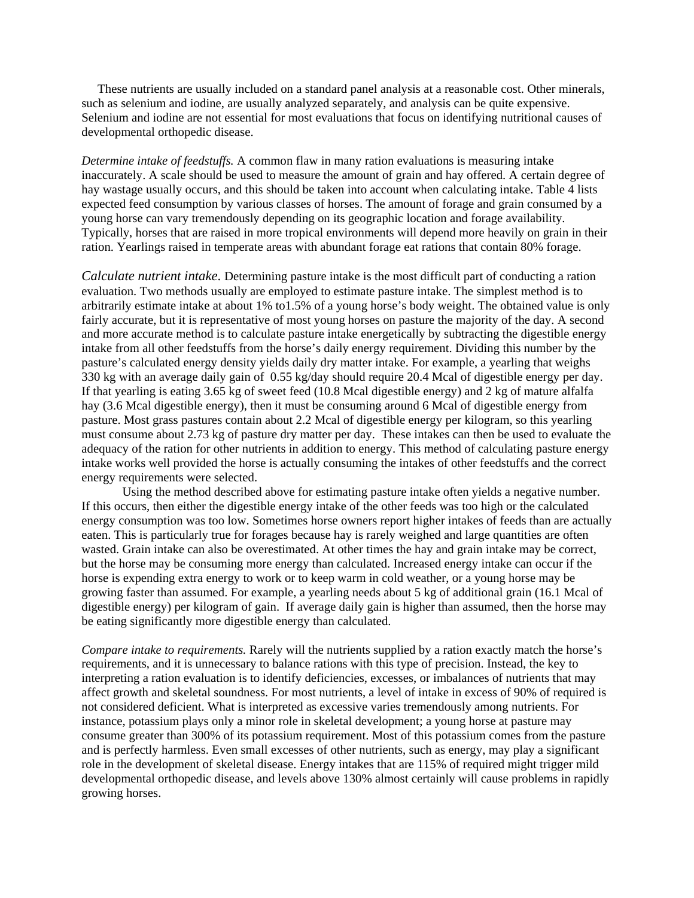These nutrients are usually included on a standard panel analysis at a reasonable cost. Other minerals, such as selenium and iodine, are usually analyzed separately, and analysis can be quite expensive. Selenium and iodine are not essential for most evaluations that focus on identifying nutritional causes of developmental orthopedic disease.

*Determine intake of feedstuffs.* A common flaw in many ration evaluations is measuring intake inaccurately. A scale should be used to measure the amount of grain and hay offered. A certain degree of hay wastage usually occurs, and this should be taken into account when calculating intake. Table 4 lists expected feed consumption by various classes of horses. The amount of forage and grain consumed by a young horse can vary tremendously depending on its geographic location and forage availability. Typically, horses that are raised in more tropical environments will depend more heavily on grain in their ration. Yearlings raised in temperate areas with abundant forage eat rations that contain 80% forage.

*Calculate nutrient intake*. Determining pasture intake is the most difficult part of conducting a ration evaluation. Two methods usually are employed to estimate pasture intake. The simplest method is to arbitrarily estimate intake at about 1% to1.5% of a young horse's body weight. The obtained value is only fairly accurate, but it is representative of most young horses on pasture the majority of the day. A second and more accurate method is to calculate pasture intake energetically by subtracting the digestible energy intake from all other feedstuffs from the horse's daily energy requirement. Dividing this number by the pasture's calculated energy density yields daily dry matter intake. For example, a yearling that weighs 330 kg with an average daily gain of 0.55 kg/day should require 20.4 Mcal of digestible energy per day. If that yearling is eating 3.65 kg of sweet feed (10.8 Mcal digestible energy) and 2 kg of mature alfalfa hay (3.6 Mcal digestible energy), then it must be consuming around 6 Mcal of digestible energy from pasture. Most grass pastures contain about 2.2 Mcal of digestible energy per kilogram, so this yearling must consume about 2.73 kg of pasture dry matter per day. These intakes can then be used to evaluate the adequacy of the ration for other nutrients in addition to energy. This method of calculating pasture energy intake works well provided the horse is actually consuming the intakes of other feedstuffs and the correct energy requirements were selected.

Using the method described above for estimating pasture intake often yields a negative number. If this occurs, then either the digestible energy intake of the other feeds was too high or the calculated energy consumption was too low. Sometimes horse owners report higher intakes of feeds than are actually eaten. This is particularly true for forages because hay is rarely weighed and large quantities are often wasted. Grain intake can also be overestimated. At other times the hay and grain intake may be correct, but the horse may be consuming more energy than calculated. Increased energy intake can occur if the horse is expending extra energy to work or to keep warm in cold weather, or a young horse may be growing faster than assumed. For example, a yearling needs about 5 kg of additional grain (16.1 Mcal of digestible energy) per kilogram of gain. If average daily gain is higher than assumed, then the horse may be eating significantly more digestible energy than calculated.

*Compare intake to requirements.* Rarely will the nutrients supplied by a ration exactly match the horse's requirements, and it is unnecessary to balance rations with this type of precision. Instead, the key to interpreting a ration evaluation is to identify deficiencies, excesses, or imbalances of nutrients that may affect growth and skeletal soundness. For most nutrients, a level of intake in excess of 90% of required is not considered deficient. What is interpreted as excessive varies tremendously among nutrients. For instance, potassium plays only a minor role in skeletal development; a young horse at pasture may consume greater than 300% of its potassium requirement. Most of this potassium comes from the pasture and is perfectly harmless. Even small excesses of other nutrients, such as energy, may play a significant role in the development of skeletal disease. Energy intakes that are 115% of required might trigger mild developmental orthopedic disease, and levels above 130% almost certainly will cause problems in rapidly growing horses.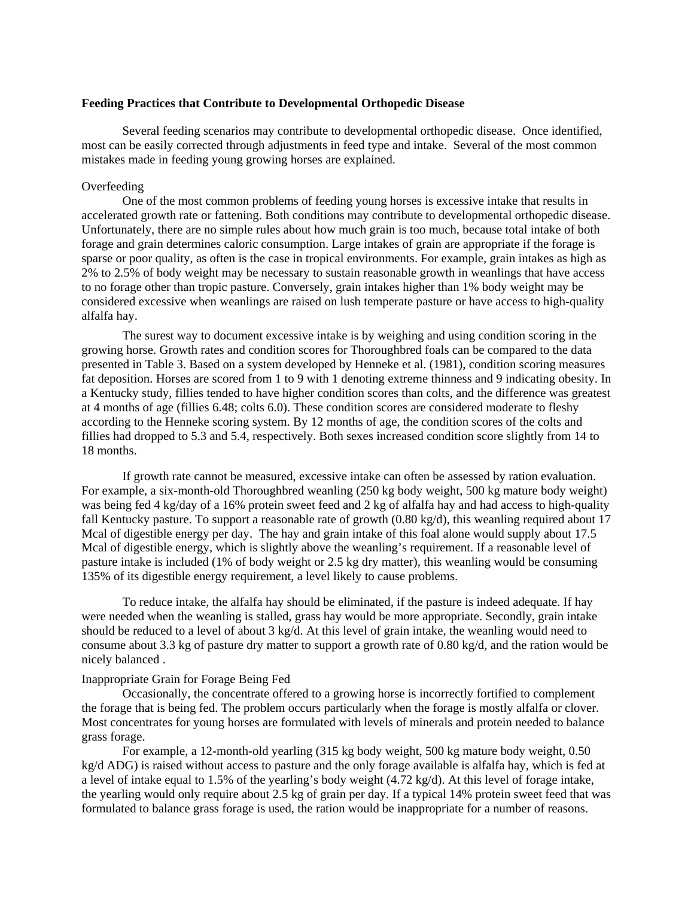## **Feeding Practices that Contribute to Developmental Orthopedic Disease**

Several feeding scenarios may contribute to developmental orthopedic disease. Once identified, most can be easily corrected through adjustments in feed type and intake. Several of the most common mistakes made in feeding young growing horses are explained.

## Overfeeding

One of the most common problems of feeding young horses is excessive intake that results in accelerated growth rate or fattening. Both conditions may contribute to developmental orthopedic disease. Unfortunately, there are no simple rules about how much grain is too much, because total intake of both forage and grain determines caloric consumption. Large intakes of grain are appropriate if the forage is sparse or poor quality, as often is the case in tropical environments. For example, grain intakes as high as 2% to 2.5% of body weight may be necessary to sustain reasonable growth in weanlings that have access to no forage other than tropic pasture. Conversely, grain intakes higher than 1% body weight may be considered excessive when weanlings are raised on lush temperate pasture or have access to high-quality alfalfa hay.

The surest way to document excessive intake is by weighing and using condition scoring in the growing horse. Growth rates and condition scores for Thoroughbred foals can be compared to the data presented in Table 3. Based on a system developed by Henneke et al. (1981), condition scoring measures fat deposition. Horses are scored from 1 to 9 with 1 denoting extreme thinness and 9 indicating obesity. In a Kentucky study, fillies tended to have higher condition scores than colts, and the difference was greatest at 4 months of age (fillies 6.48; colts 6.0). These condition scores are considered moderate to fleshy according to the Henneke scoring system. By 12 months of age, the condition scores of the colts and fillies had dropped to 5.3 and 5.4, respectively. Both sexes increased condition score slightly from 14 to 18 months.

If growth rate cannot be measured, excessive intake can often be assessed by ration evaluation. For example, a six-month-old Thoroughbred weanling (250 kg body weight, 500 kg mature body weight) was being fed 4 kg/day of a 16% protein sweet feed and 2 kg of alfalfa hay and had access to high-quality fall Kentucky pasture. To support a reasonable rate of growth  $(0.80 \text{ kg/d})$ , this weanling required about 17 Mcal of digestible energy per day. The hay and grain intake of this foal alone would supply about 17.5 Mcal of digestible energy, which is slightly above the weanling's requirement. If a reasonable level of pasture intake is included (1% of body weight or 2.5 kg dry matter), this weanling would be consuming 135% of its digestible energy requirement, a level likely to cause problems.

To reduce intake, the alfalfa hay should be eliminated, if the pasture is indeed adequate. If hay were needed when the weanling is stalled, grass hay would be more appropriate. Secondly, grain intake should be reduced to a level of about 3 kg/d. At this level of grain intake, the weanling would need to consume about 3.3 kg of pasture dry matter to support a growth rate of 0.80 kg/d, and the ration would be nicely balanced .

## Inappropriate Grain for Forage Being Fed

Occasionally, the concentrate offered to a growing horse is incorrectly fortified to complement the forage that is being fed. The problem occurs particularly when the forage is mostly alfalfa or clover. Most concentrates for young horses are formulated with levels of minerals and protein needed to balance grass forage.

For example, a 12-month-old yearling (315 kg body weight, 500 kg mature body weight, 0.50 kg/d ADG) is raised without access to pasture and the only forage available is alfalfa hay, which is fed at a level of intake equal to 1.5% of the yearling's body weight (4.72 kg/d). At this level of forage intake, the yearling would only require about 2.5 kg of grain per day. If a typical 14% protein sweet feed that was formulated to balance grass forage is used, the ration would be inappropriate for a number of reasons.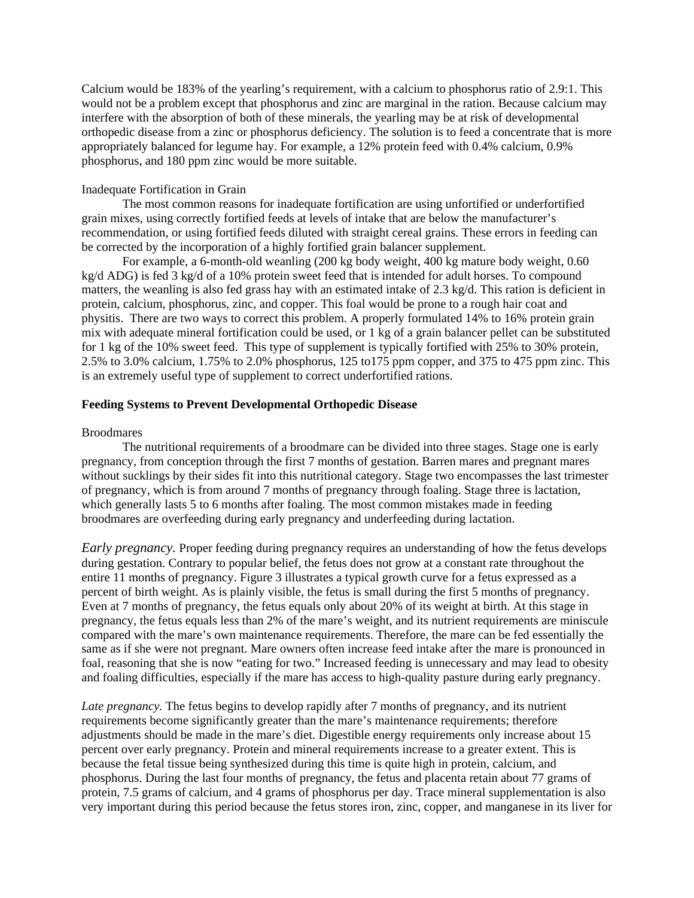Calcium would be 183% of the yearling's requirement, with a calcium to phosphorus ratio of 2.9:1. This would not be a problem except that phosphorus and zinc are marginal in the ration. Because calcium may interfere with the absorption of both of these minerals, the yearling may be at risk of developmental orthopedic disease from a zinc or phosphorus deficiency. The solution is to feed a concentrate that is more appropriately balanced for legume hay. For example, a 12% protein feed with 0.4% calcium, 0.9% phosphorus, and 180 ppm zinc would be more suitable.

#### Inadequate Fortification in Grain

The most common reasons for inadequate fortification are using unfortified or underfortified grain mixes, using correctly fortified feeds at levels of intake that are below the manufacturer's recommendation, or using fortified feeds diluted with straight cereal grains. These errors in feeding can be corrected by the incorporation of a highly fortified grain balancer supplement.

For example, a 6-month-old weanling (200 kg body weight, 400 kg mature body weight, 0.60 kg/d ADG) is fed 3 kg/d of a 10% protein sweet feed that is intended for adult horses. To compound matters, the weanling is also fed grass hay with an estimated intake of 2.3 kg/d. This ration is deficient in protein, calcium, phosphorus, zinc, and copper. This foal would be prone to a rough hair coat and physitis. There are two ways to correct this problem. A properly formulated 14% to 16% protein grain mix with adequate mineral fortification could be used, or 1 kg of a grain balancer pellet can be substituted for 1 kg of the 10% sweet feed. This type of supplement is typically fortified with 25% to 30% protein, 2.5% to 3.0% calcium, 1.75% to 2.0% phosphorus, 125 to175 ppm copper, and 375 to 475 ppm zinc. This is an extremely useful type of supplement to correct underfortified rations.

## **Feeding Systems to Prevent Developmental Orthopedic Disease**

#### Broodmares

The nutritional requirements of a broodmare can be divided into three stages. Stage one is early pregnancy, from conception through the first 7 months of gestation. Barren mares and pregnant mares without sucklings by their sides fit into this nutritional category. Stage two encompasses the last trimester of pregnancy, which is from around 7 months of pregnancy through foaling. Stage three is lactation, which generally lasts 5 to 6 months after foaling. The most common mistakes made in feeding broodmares are overfeeding during early pregnancy and underfeeding during lactation.

*Early pregnancy.* Proper feeding during pregnancy requires an understanding of how the fetus develops during gestation. Contrary to popular belief, the fetus does not grow at a constant rate throughout the entire 11 months of pregnancy. Figure 3 illustrates a typical growth curve for a fetus expressed as a percent of birth weight. As is plainly visible, the fetus is small during the first 5 months of pregnancy. Even at 7 months of pregnancy, the fetus equals only about 20% of its weight at birth. At this stage in pregnancy, the fetus equals less than 2% of the mare's weight, and its nutrient requirements are miniscule compared with the mare's own maintenance requirements. Therefore, the mare can be fed essentially the same as if she were not pregnant. Mare owners often increase feed intake after the mare is pronounced in foal, reasoning that she is now "eating for two." Increased feeding is unnecessary and may lead to obesity and foaling difficulties, especially if the mare has access to high-quality pasture during early pregnancy.

*Late pregnancy.* The fetus begins to develop rapidly after 7 months of pregnancy, and its nutrient requirements become significantly greater than the mare's maintenance requirements; therefore adjustments should be made in the mare's diet. Digestible energy requirements only increase about 15 percent over early pregnancy. Protein and mineral requirements increase to a greater extent. This is because the fetal tissue being synthesized during this time is quite high in protein, calcium, and phosphorus. During the last four months of pregnancy, the fetus and placenta retain about 77 grams of protein, 7.5 grams of calcium, and 4 grams of phosphorus per day. Trace mineral supplementation is also very important during this period because the fetus stores iron, zinc, copper, and manganese in its liver for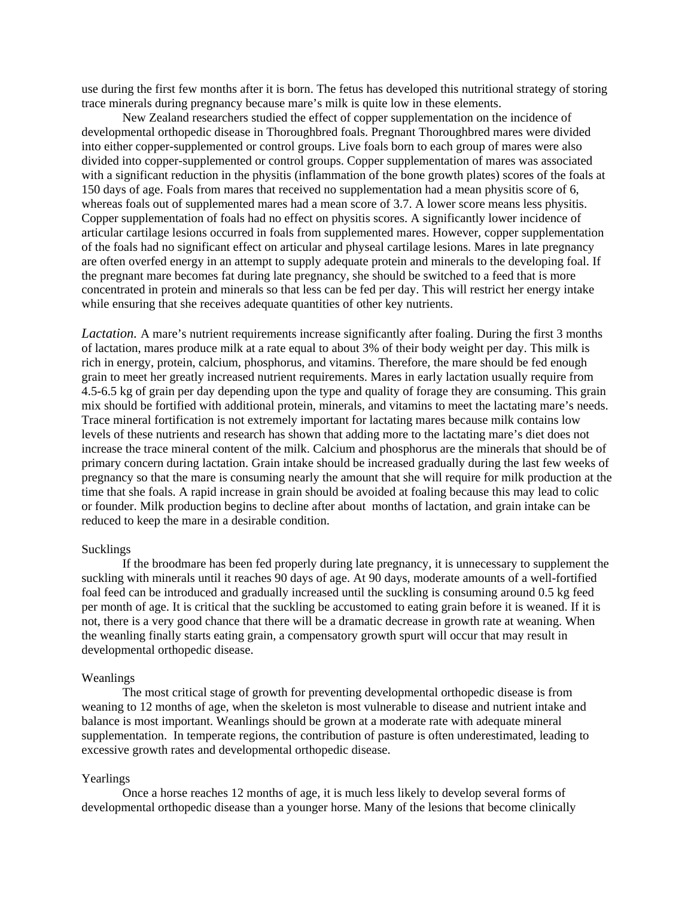use during the first few months after it is born. The fetus has developed this nutritional strategy of storing trace minerals during pregnancy because mare's milk is quite low in these elements.

New Zealand researchers studied the effect of copper supplementation on the incidence of developmental orthopedic disease in Thoroughbred foals. Pregnant Thoroughbred mares were divided into either copper-supplemented or control groups. Live foals born to each group of mares were also divided into copper-supplemented or control groups. Copper supplementation of mares was associated with a significant reduction in the physitis (inflammation of the bone growth plates) scores of the foals at 150 days of age. Foals from mares that received no supplementation had a mean physitis score of 6, whereas foals out of supplemented mares had a mean score of 3.7. A lower score means less physitis. Copper supplementation of foals had no effect on physitis scores. A significantly lower incidence of articular cartilage lesions occurred in foals from supplemented mares. However, copper supplementation of the foals had no significant effect on articular and physeal cartilage lesions. Mares in late pregnancy are often overfed energy in an attempt to supply adequate protein and minerals to the developing foal. If the pregnant mare becomes fat during late pregnancy, she should be switched to a feed that is more concentrated in protein and minerals so that less can be fed per day. This will restrict her energy intake while ensuring that she receives adequate quantities of other key nutrients.

*Lactation.* A mare's nutrient requirements increase significantly after foaling. During the first 3 months of lactation, mares produce milk at a rate equal to about 3% of their body weight per day. This milk is rich in energy, protein, calcium, phosphorus, and vitamins. Therefore, the mare should be fed enough grain to meet her greatly increased nutrient requirements. Mares in early lactation usually require from 4.5-6.5 kg of grain per day depending upon the type and quality of forage they are consuming. This grain mix should be fortified with additional protein, minerals, and vitamins to meet the lactating mare's needs. Trace mineral fortification is not extremely important for lactating mares because milk contains low levels of these nutrients and research has shown that adding more to the lactating mare's diet does not increase the trace mineral content of the milk. Calcium and phosphorus are the minerals that should be of primary concern during lactation. Grain intake should be increased gradually during the last few weeks of pregnancy so that the mare is consuming nearly the amount that she will require for milk production at the time that she foals. A rapid increase in grain should be avoided at foaling because this may lead to colic or founder. Milk production begins to decline after about months of lactation, and grain intake can be reduced to keep the mare in a desirable condition.

## Sucklings

If the broodmare has been fed properly during late pregnancy, it is unnecessary to supplement the suckling with minerals until it reaches 90 days of age. At 90 days, moderate amounts of a well-fortified foal feed can be introduced and gradually increased until the suckling is consuming around 0.5 kg feed per month of age. It is critical that the suckling be accustomed to eating grain before it is weaned. If it is not, there is a very good chance that there will be a dramatic decrease in growth rate at weaning. When the weanling finally starts eating grain, a compensatory growth spurt will occur that may result in developmental orthopedic disease.

#### Weanlings

The most critical stage of growth for preventing developmental orthopedic disease is from weaning to 12 months of age, when the skeleton is most vulnerable to disease and nutrient intake and balance is most important. Weanlings should be grown at a moderate rate with adequate mineral supplementation. In temperate regions, the contribution of pasture is often underestimated, leading to excessive growth rates and developmental orthopedic disease.

## Yearlings

Once a horse reaches 12 months of age, it is much less likely to develop several forms of developmental orthopedic disease than a younger horse. Many of the lesions that become clinically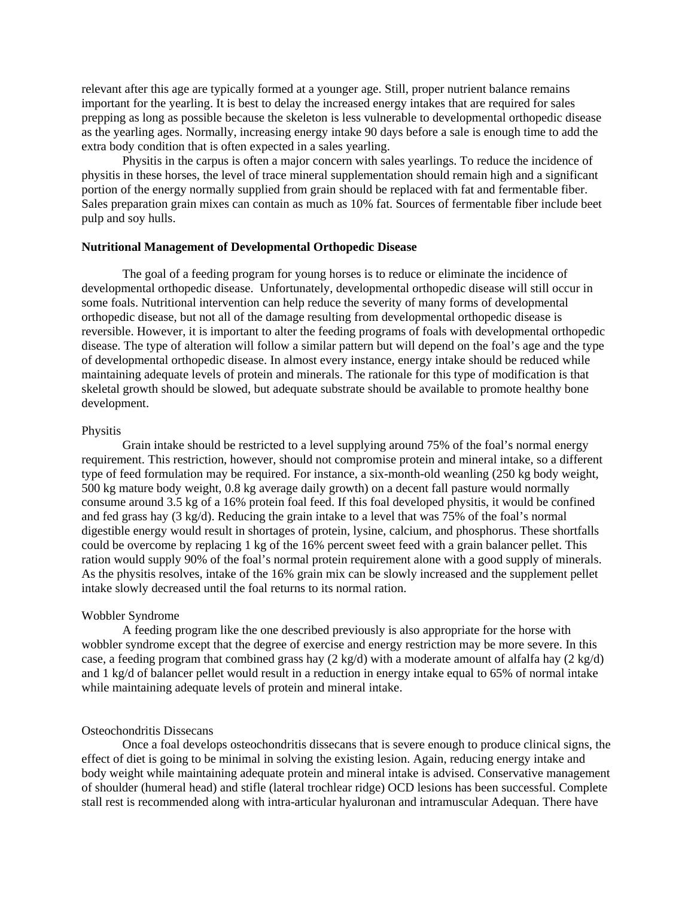relevant after this age are typically formed at a younger age. Still, proper nutrient balance remains important for the yearling. It is best to delay the increased energy intakes that are required for sales prepping as long as possible because the skeleton is less vulnerable to developmental orthopedic disease as the yearling ages. Normally, increasing energy intake 90 days before a sale is enough time to add the extra body condition that is often expected in a sales yearling.

Physitis in the carpus is often a major concern with sales yearlings. To reduce the incidence of physitis in these horses, the level of trace mineral supplementation should remain high and a significant portion of the energy normally supplied from grain should be replaced with fat and fermentable fiber. Sales preparation grain mixes can contain as much as 10% fat. Sources of fermentable fiber include beet pulp and soy hulls.

## **Nutritional Management of Developmental Orthopedic Disease**

The goal of a feeding program for young horses is to reduce or eliminate the incidence of developmental orthopedic disease. Unfortunately, developmental orthopedic disease will still occur in some foals. Nutritional intervention can help reduce the severity of many forms of developmental orthopedic disease, but not all of the damage resulting from developmental orthopedic disease is reversible. However, it is important to alter the feeding programs of foals with developmental orthopedic disease. The type of alteration will follow a similar pattern but will depend on the foal's age and the type of developmental orthopedic disease. In almost every instance, energy intake should be reduced while maintaining adequate levels of protein and minerals. The rationale for this type of modification is that skeletal growth should be slowed, but adequate substrate should be available to promote healthy bone development.

#### Physitis

Grain intake should be restricted to a level supplying around 75% of the foal's normal energy requirement. This restriction, however, should not compromise protein and mineral intake, so a different type of feed formulation may be required. For instance, a six-month-old weanling (250 kg body weight, 500 kg mature body weight, 0.8 kg average daily growth) on a decent fall pasture would normally consume around 3.5 kg of a 16% protein foal feed. If this foal developed physitis, it would be confined and fed grass hay (3 kg/d). Reducing the grain intake to a level that was 75% of the foal's normal digestible energy would result in shortages of protein, lysine, calcium, and phosphorus. These shortfalls could be overcome by replacing 1 kg of the 16% percent sweet feed with a grain balancer pellet. This ration would supply 90% of the foal's normal protein requirement alone with a good supply of minerals. As the physitis resolves, intake of the 16% grain mix can be slowly increased and the supplement pellet intake slowly decreased until the foal returns to its normal ration.

#### Wobbler Syndrome

A feeding program like the one described previously is also appropriate for the horse with wobbler syndrome except that the degree of exercise and energy restriction may be more severe. In this case, a feeding program that combined grass hay  $(2 \text{ kg/d})$  with a moderate amount of alfalfa hay  $(2 \text{ kg/d})$ and 1 kg/d of balancer pellet would result in a reduction in energy intake equal to 65% of normal intake while maintaining adequate levels of protein and mineral intake.

#### Osteochondritis Dissecans

Once a foal develops osteochondritis dissecans that is severe enough to produce clinical signs, the effect of diet is going to be minimal in solving the existing lesion. Again, reducing energy intake and body weight while maintaining adequate protein and mineral intake is advised. Conservative management of shoulder (humeral head) and stifle (lateral trochlear ridge) OCD lesions has been successful. Complete stall rest is recommended along with intra-articular hyaluronan and intramuscular Adequan. There have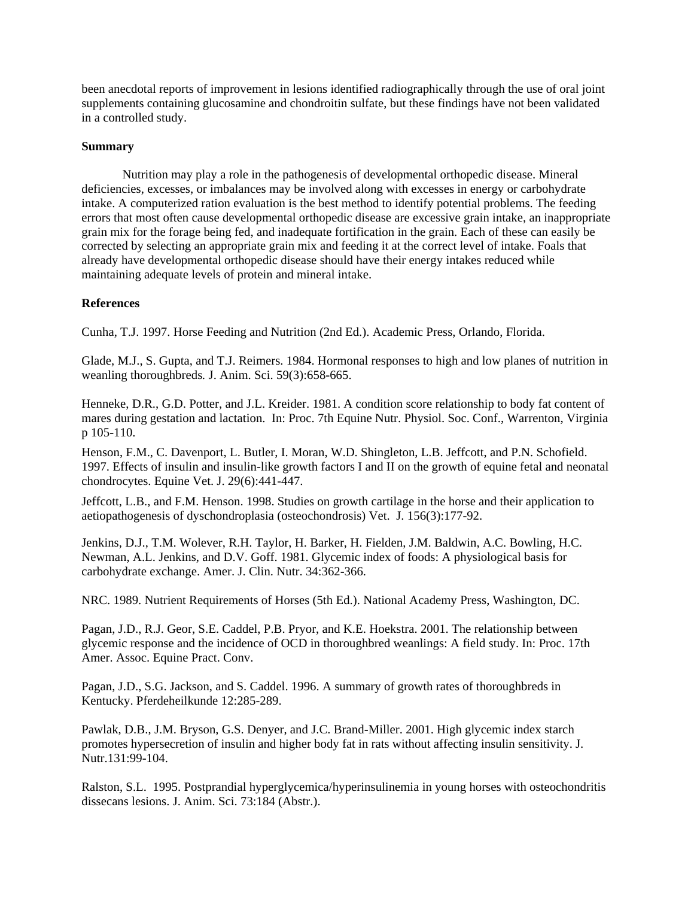been anecdotal reports of improvement in lesions identified radiographically through the use of oral joint supplements containing glucosamine and chondroitin sulfate, but these findings have not been validated in a controlled study.

## **Summary**

Nutrition may play a role in the pathogenesis of developmental orthopedic disease. Mineral deficiencies, excesses, or imbalances may be involved along with excesses in energy or carbohydrate intake. A computerized ration evaluation is the best method to identify potential problems. The feeding errors that most often cause developmental orthopedic disease are excessive grain intake, an inappropriate grain mix for the forage being fed, and inadequate fortification in the grain. Each of these can easily be corrected by selecting an appropriate grain mix and feeding it at the correct level of intake. Foals that already have developmental orthopedic disease should have their energy intakes reduced while maintaining adequate levels of protein and mineral intake.

## **References**

Cunha, T.J. 1997. Horse Feeding and Nutrition (2nd Ed.). Academic Press, Orlando, Florida.

Glade, M.J., S. Gupta, and T.J. Reimers. 1984. Hormonal responses to high and low planes of nutrition in weanling thoroughbreds*.* J. Anim. Sci. 59(3):658-665.

Henneke, D.R., G.D. Potter, and J.L. Kreider. 1981. A condition score relationship to body fat content of mares during gestation and lactation. In: Proc. 7th Equine Nutr. Physiol. Soc. Conf., Warrenton, Virginia p 105-110.

Henson, F.M., C. Davenport, L. Butler, I. Moran, W.D. Shingleton, L.B. Jeffcott, and P.N. Schofield. 1997. Effects of insulin and insulin-like growth factors I and II on the growth of equine fetal and neonatal chondrocytes. Equine Vet. J. 29(6):441-447.

Jeffcott, L.B., and F.M. Henson. 1998. Studies on growth cartilage in the horse and their application to aetiopathogenesis of dyschondroplasia (osteochondrosis) Vet. J. 156(3):177-92.

Jenkins, D.J., T.M. Wolever, R.H. Taylor, H. Barker, H. Fielden, J.M. Baldwin, A.C. Bowling, H.C. Newman, A.L. Jenkins, and D.V. Goff. 1981. Glycemic index of foods: A physiological basis for carbohydrate exchange. Amer. J. Clin. Nutr. 34:362-366.

NRC. 1989. Nutrient Requirements of Horses (5th Ed.). National Academy Press, Washington, DC.

Pagan, J.D., R.J. Geor, S.E. Caddel, P.B. Pryor, and K.E. Hoekstra. 2001. The relationship between glycemic response and the incidence of OCD in thoroughbred weanlings: A field study. In: Proc. 17th Amer. Assoc. Equine Pract. Conv.

Pagan, J.D., S.G. Jackson, and S. Caddel. 1996. A summary of growth rates of thoroughbreds in Kentucky. Pferdeheilkunde 12:285-289.

Pawlak, D.B., J.M. Bryson, G.S. Denyer, and J.C. Brand-Miller. 2001. High glycemic index starch promotes hypersecretion of insulin and higher body fat in rats without affecting insulin sensitivity. J. Nutr.131:99-104.

Ralston, S.L. 1995. Postprandial hyperglycemica/hyperinsulinemia in young horses with osteochondritis dissecans lesions. J. Anim. Sci. 73:184 (Abstr.).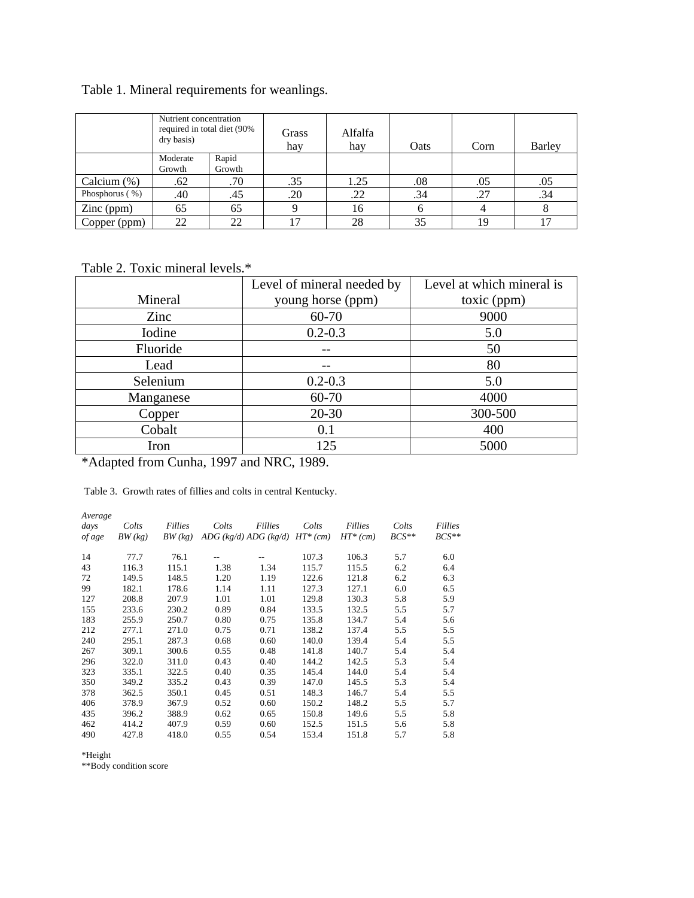|                     | Nutrient concentration<br>required in total diet (90%<br>dry basis) |                 | Grass<br>hay | Alfalfa<br>hay | <b>Oats</b> | Corn | Barley |
|---------------------|---------------------------------------------------------------------|-----------------|--------------|----------------|-------------|------|--------|
|                     | Moderate<br>Growth                                                  | Rapid<br>Growth |              |                |             |      |        |
| Calcium $(\%)$      | .62                                                                 | .70             | .35          | 1.25           | .08         | .05  | .05    |
| Phosphorus $(\%)$   | .40                                                                 | .45             | .20          | .22            | .34         | .27  | .34    |
| $\text{Zinc (ppm)}$ | 65                                                                  | 65              |              | 16             |             |      | ◠      |
| Copper (ppm)        | 22                                                                  | 22              | 17           | 28             | 35          | 19   |        |

# Table 1. Mineral requirements for weanlings.

# Table 2. Toxic mineral levels.\*

|           | Level of mineral needed by | Level at which mineral is |  |  |
|-----------|----------------------------|---------------------------|--|--|
| Mineral   | young horse (ppm)          | toxic (ppm)               |  |  |
| Zinc      | 60-70                      | 9000                      |  |  |
| Iodine    | $0.2 - 0.3$                | 5.0                       |  |  |
| Fluoride  |                            | 50                        |  |  |
| Lead      |                            | 80                        |  |  |
| Selenium  | $0.2 - 0.3$                | 5.0                       |  |  |
| Manganese | 60-70                      | 4000                      |  |  |
| Copper    | $20 - 30$                  | 300-500                   |  |  |
| Cobalt    | 0.1                        | 400                       |  |  |
| Iron      | 125                        | 5000                      |  |  |

\*Adapted from Cunha, 1997 and NRC, 1989.

Table 3. Growth rates of fillies and colts in central Kentucky.

| Average |         |                |       |                           |              |              |         |                |
|---------|---------|----------------|-------|---------------------------|--------------|--------------|---------|----------------|
| days    | Colts   | <b>Fillies</b> | Colts | Fillies                   | Colts        | Fillies      | Colts   | <b>Fillies</b> |
| of age  | BW (kg) | BW(kg)         |       | $ADG$ (kg/d) $ADG$ (kg/d) | $HT^{*}(cm)$ | $HT^{*}(cm)$ | $BCS**$ | $BCS**$        |
| 14      | 77.7    | 76.1           |       |                           | 107.3        | 106.3        | 5.7     | 6.0            |
| 43      | 116.3   | 115.1          | 1.38  | 1.34                      | 115.7        | 115.5        | 6.2     | 6.4            |
| 72      | 149.5   | 148.5          | 1.20  | 1.19                      | 122.6        | 121.8        | 6.2     | 6.3            |
| 99      | 182.1   | 178.6          | 1.14  | 1.11                      | 127.3        | 127.1        | 6.0     | 6.5            |
| 127     | 208.8   | 207.9          | 1.01  | 1.01                      | 129.8        | 130.3        | 5.8     | 5.9            |
| 155     | 233.6   | 230.2          | 0.89  | 0.84                      | 133.5        | 132.5        | 5.5     | 5.7            |
| 183     | 255.9   | 250.7          | 0.80  | 0.75                      | 135.8        | 134.7        | 5.4     | 5.6            |
| 212     | 277.1   | 271.0          | 0.75  | 0.71                      | 138.2        | 137.4        | 5.5     | 5.5            |
| 240     | 295.1   | 287.3          | 0.68  | 0.60                      | 140.0        | 139.4        | 5.4     | 5.5            |
| 267     | 309.1   | 300.6          | 0.55  | 0.48                      | 141.8        | 140.7        | 5.4     | 5.4            |
| 296     | 322.0   | 311.0          | 0.43  | 0.40                      | 144.2        | 142.5        | 5.3     | 5.4            |
| 323     | 335.1   | 322.5          | 0.40  | 0.35                      | 145.4        | 144.0        | 5.4     | 5.4            |
| 350     | 349.2   | 335.2          | 0.43  | 0.39                      | 147.0        | 145.5        | 5.3     | 5.4            |
| 378     | 362.5   | 350.1          | 0.45  | 0.51                      | 148.3        | 146.7        | 5.4     | 5.5            |
| 406     | 378.9   | 367.9          | 0.52  | 0.60                      | 150.2        | 148.2        | 5.5     | 5.7            |
| 435     | 396.2   | 388.9          | 0.62  | 0.65                      | 150.8        | 149.6        | 5.5     | 5.8            |
| 462     | 414.2   | 407.9          | 0.59  | 0.60                      | 152.5        | 151.5        | 5.6     | 5.8            |
| 490     | 427.8   | 418.0          | 0.55  | 0.54                      | 153.4        | 151.8        | 5.7     | 5.8            |

\*Height

\*\*Body condition score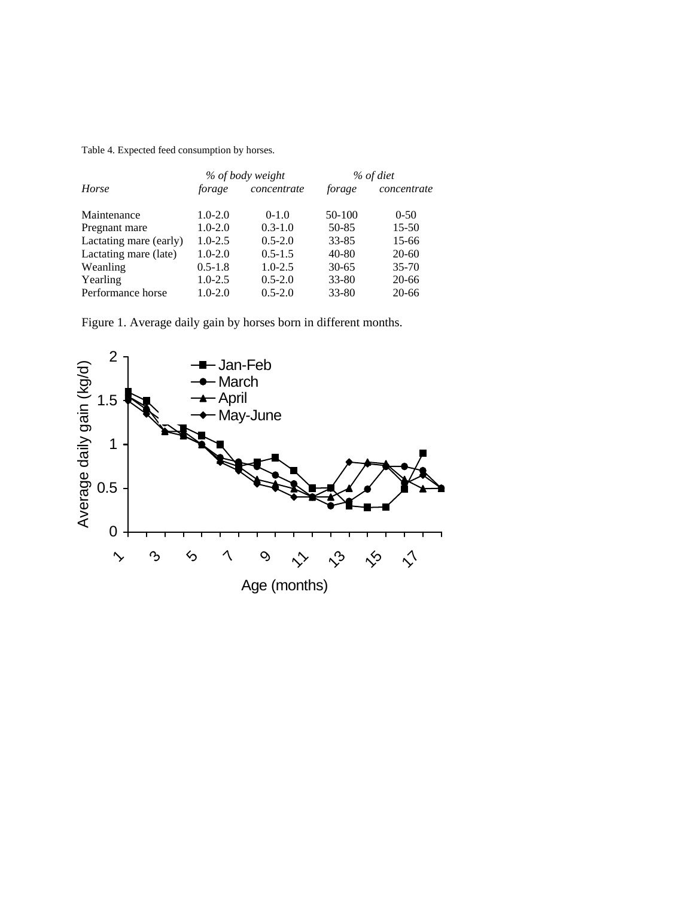Table 4. Expected feed consumption by horses.

|                        |             | % of body weight | % of diet |             |  |
|------------------------|-------------|------------------|-----------|-------------|--|
| Horse                  | forage      | concentrate      | forage    | concentrate |  |
| Maintenance            | $1.0 - 2.0$ | $0-1.0$          | 50-100    | $0-50$      |  |
| Pregnant mare          | $1.0 - 2.0$ | $0.3 - 1.0$      | 50-85     | $15 - 50$   |  |
| Lactating mare (early) | $1.0 - 2.5$ | $0.5 - 2.0$      | 33-85     | $15-66$     |  |
| Lactating mare (late)  | $1.0 - 2.0$ | $0.5 - 1.5$      | $40 - 80$ | $20-60$     |  |
| Weanling               | $0.5 - 1.8$ | $1.0 - 2.5$      | $30 - 65$ | $35 - 70$   |  |
| Yearling               | $1.0 - 2.5$ | $0.5 - 2.0$      | $33 - 80$ | 20-66       |  |
| Performance horse      | $1.0 - 2.0$ | $0.5 - 2.0$      | $33 - 80$ | 20-66       |  |

Figure 1. Average daily gain by horses born in different months.